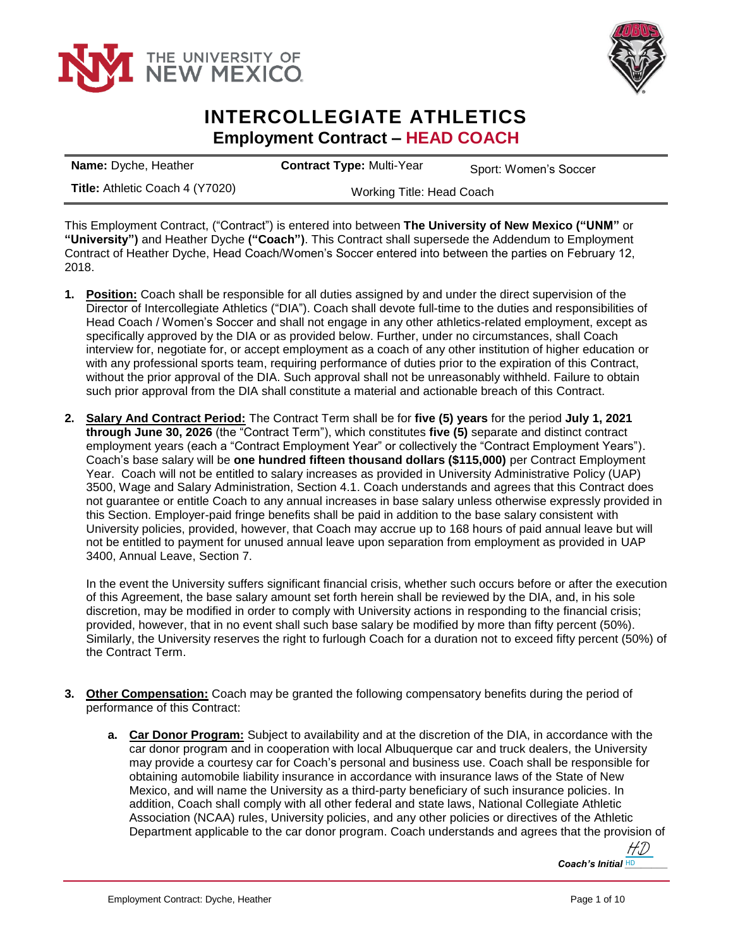



## **INTERCOLLEGIATE ATHLETICS Employment Contract – HEAD COACH**

| <b>Name:</b> Dyche, Heather            | <b>Contract Type: Multi-Year</b> | Sport: Women's Soccer |
|----------------------------------------|----------------------------------|-----------------------|
| <b>Title:</b> Athletic Coach 4 (Y7020) | Working Title: Head Coach        |                       |

This Employment Contract, ("Contract") is entered into between **The University of New Mexico ("UNM"** or **"University")** and Heather Dyche **("Coach")**. This Contract shall supersede the Addendum to Employment Contract of Heather Dyche, Head Coach/Women's Soccer entered into between the parties on February 12, 2018.

- **1. Position:** Coach shall be responsible for all duties assigned by and under the direct supervision of the Director of Intercollegiate Athletics ("DIA"). Coach shall devote full-time to the duties and responsibilities of Head Coach / Women's Soccer and shall not engage in any other athletics-related employment, except as specifically approved by the DIA or as provided below. Further, under no circumstances, shall Coach interview for, negotiate for, or accept employment as a coach of any other institution of higher education or with any professional sports team, requiring performance of duties prior to the expiration of this Contract, without the prior approval of the DIA. Such approval shall not be unreasonably withheld. Failure to obtain such prior approval from the DIA shall constitute a material and actionable breach of this Contract.
- **2. Salary And Contract Period:** The Contract Term shall be for **five (5) years** for the period **July 1, 2021 through June 30, 2026** (the "Contract Term"), which constitutes **five (5)** separate and distinct contract employment years (each a "Contract Employment Year" or collectively the "Contract Employment Years"). Coach's base salary will be **one hundred fifteen thousand dollars (\$115,000)** per Contract Employment Year. Coach will not be entitled to salary increases as provided in University Administrative Policy (UAP) 3500, Wage and Salary Administration, Section 4.1. Coach understands and agrees that this Contract does not guarantee or entitle Coach to any annual increases in base salary unless otherwise expressly provided in this Section. Employer-paid fringe benefits shall be paid in addition to the base salary consistent with University policies, provided, however, that Coach may accrue up to 168 hours of paid annual leave but will not be entitled to payment for unused annual leave upon separation from employment as provided in UAP 3400, Annual Leave, Section 7.

In the event the University suffers significant financial crisis, whether such occurs before or after the execution of this Agreement, the base salary amount set forth herein shall be reviewed by the DIA, and, in his sole discretion, may be modified in order to comply with University actions in responding to the financial crisis; provided, however, that in no event shall such base salary be modified by more than fifty percent (50%). Similarly, the University reserves the right to furlough Coach for a duration not to exceed fifty percent (50%) of the Contract Term.

- **3. Other Compensation:** Coach may be granted the following compensatory benefits during the period of performance of this Contract:
	- **a. Car Donor Program:** Subject to availability and at the discretion of the DIA, in accordance with the car donor program and in cooperation with local Albuquerque car and truck dealers, the University may provide a courtesy car for Coach's personal and business use. Coach shall be responsible for obtaining automobile liability insurance in accordance with insurance laws of the State of New Mexico, and will name the University as a third-party beneficiary of such insurance policies. In addition, Coach shall comply with all other federal and state laws, National Collegiate Athletic Association (NCAA) rules, University policies, and any other policies or directives of the Athletic Department applicable to the car donor program. Coach understands and agrees that the provision of

Coach's Initial **HD** [HD](https://secure.na2.echosign.com/verifier?tx=CBJCHBCAABAAtKjw7_nfRP9qf1b-xkNfPwsszDnMd8w7)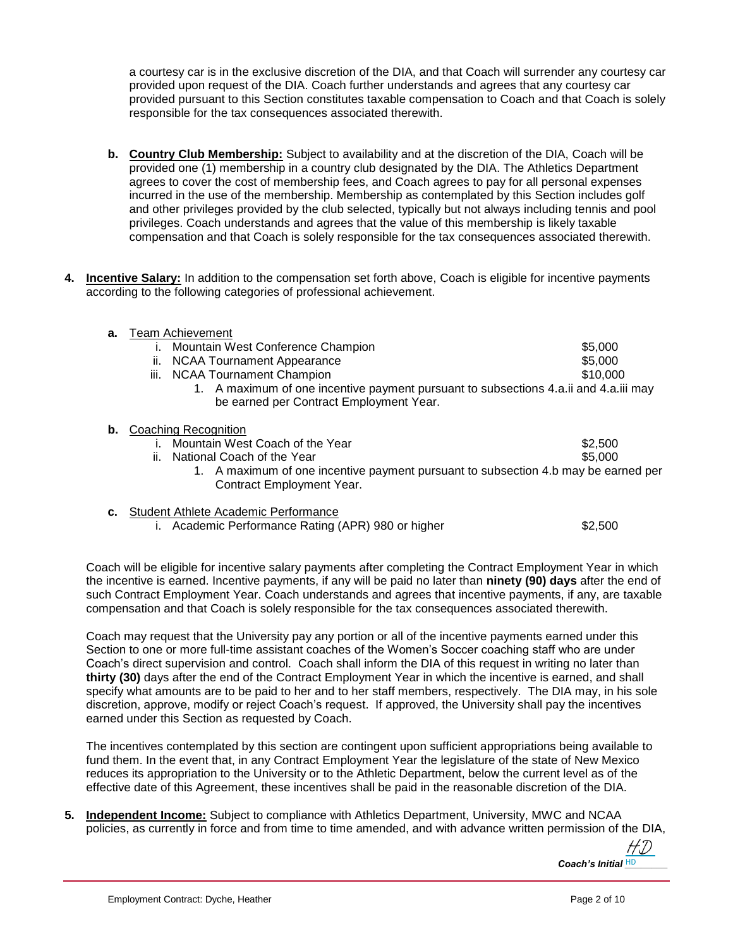a courtesy car is in the exclusive discretion of the DIA, and that Coach will surrender any courtesy car provided upon request of the DIA. Coach further understands and agrees that any courtesy car provided pursuant to this Section constitutes taxable compensation to Coach and that Coach is solely responsible for the tax consequences associated therewith.

- **b. Country Club Membership:** Subject to availability and at the discretion of the DIA, Coach will be provided one (1) membership in a country club designated by the DIA. The Athletics Department agrees to cover the cost of membership fees, and Coach agrees to pay for all personal expenses incurred in the use of the membership. Membership as contemplated by this Section includes golf and other privileges provided by the club selected, typically but not always including tennis and pool privileges. Coach understands and agrees that the value of this membership is likely taxable compensation and that Coach is solely responsible for the tax consequences associated therewith.
- **4. Incentive Salary:** In addition to the compensation set forth above, Coach is eligible for incentive payments according to the following categories of professional achievement.

| а. | <b>Team Achievement</b>                                                              |          |  |
|----|--------------------------------------------------------------------------------------|----------|--|
|    | Mountain West Conference Champion                                                    | \$5,000  |  |
|    | <b>NCAA Tournament Appearance</b><br>ii.                                             | \$5,000  |  |
|    | <b>NCAA Tournament Champion</b><br>Ш.                                                | \$10,000 |  |
|    | 1. A maximum of one incentive payment pursuant to subsections 4.a.ii and 4.a.iii may |          |  |
|    | be earned per Contract Employment Year.                                              |          |  |
| b. | Coaching Recognition                                                                 |          |  |
|    | Mountain West Coach of the Year                                                      | \$2,500  |  |
|    | National Coach of the Year<br>ii.                                                    | \$5,000  |  |
|    | 1. A maximum of one incentive payment pursuant to subsection 4.b may be earned per   |          |  |
|    | Contract Employment Year.                                                            |          |  |
|    |                                                                                      |          |  |
| с. | Student Athlete Academic Performance                                                 |          |  |

i. Academic Performance Rating (APR) 980 or higher  $$2,500$ 

Coach will be eligible for incentive salary payments after completing the Contract Employment Year in which the incentive is earned. Incentive payments, if any will be paid no later than **ninety (90) days** after the end of such Contract Employment Year. Coach understands and agrees that incentive payments, if any, are taxable compensation and that Coach is solely responsible for the tax consequences associated therewith.

Coach may request that the University pay any portion or all of the incentive payments earned under this Section to one or more full-time assistant coaches of the Women's Soccer coaching staff who are under Coach's direct supervision and control. Coach shall inform the DIA of this request in writing no later than **thirty (30)** days after the end of the Contract Employment Year in which the incentive is earned, and shall specify what amounts are to be paid to her and to her staff members, respectively. The DIA may, in his sole discretion, approve, modify or reject Coach's request. If approved, the University shall pay the incentives earned under this Section as requested by Coach.

The incentives contemplated by this section are contingent upon sufficient appropriations being available to fund them. In the event that, in any Contract Employment Year the legislature of the state of New Mexico reduces its appropriation to the University or to the Athletic Department, below the current level as of the effective date of this Agreement, these incentives shall be paid in the reasonable discretion of the DIA.

**5. Independent Income:** Subject to compliance with Athletics Department, University, MWC and NCAA policies, as currently in force and from time to time amended, and with advance written permission of the DIA,

Coach's Initial HD [HD](https://secure.na2.echosign.com/verifier?tx=CBJCHBCAABAAtKjw7_nfRP9qf1b-xkNfPwsszDnMd8w7)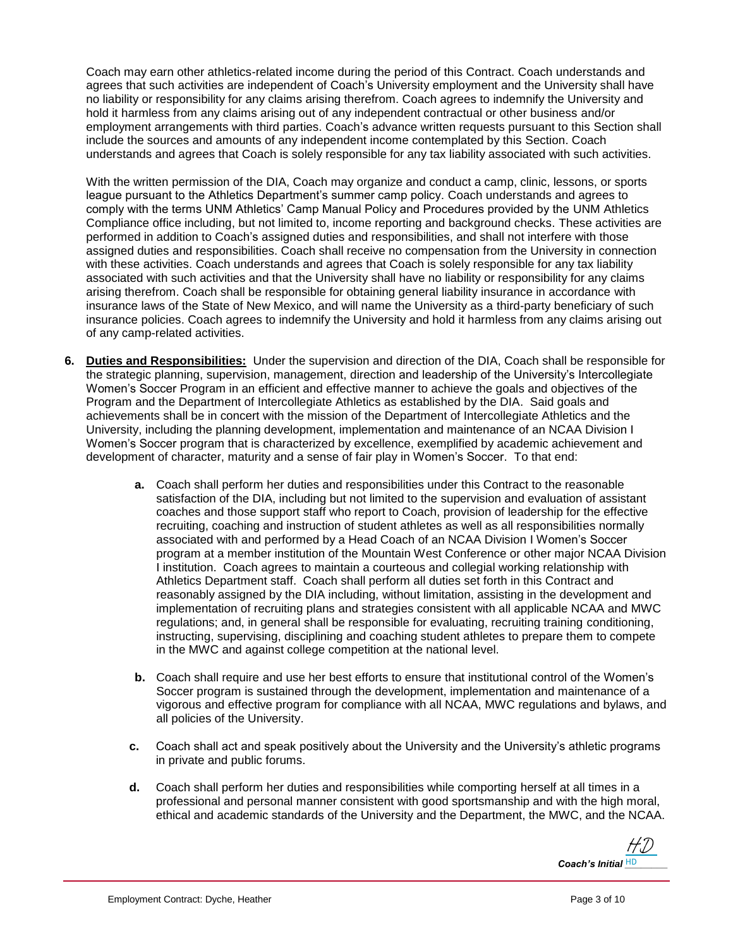Coach may earn other athletics-related income during the period of this Contract. Coach understands and agrees that such activities are independent of Coach's University employment and the University shall have no liability or responsibility for any claims arising therefrom. Coach agrees to indemnify the University and hold it harmless from any claims arising out of any independent contractual or other business and/or employment arrangements with third parties. Coach's advance written requests pursuant to this Section shall include the sources and amounts of any independent income contemplated by this Section. Coach understands and agrees that Coach is solely responsible for any tax liability associated with such activities.

With the written permission of the DIA, Coach may organize and conduct a camp, clinic, lessons, or sports league pursuant to the Athletics Department's summer camp policy. Coach understands and agrees to comply with the terms UNM Athletics' Camp Manual Policy and Procedures provided by the UNM Athletics Compliance office including, but not limited to, income reporting and background checks. These activities are performed in addition to Coach's assigned duties and responsibilities, and shall not interfere with those assigned duties and responsibilities. Coach shall receive no compensation from the University in connection with these activities. Coach understands and agrees that Coach is solely responsible for any tax liability associated with such activities and that the University shall have no liability or responsibility for any claims arising therefrom. Coach shall be responsible for obtaining general liability insurance in accordance with insurance laws of the State of New Mexico, and will name the University as a third-party beneficiary of such insurance policies. Coach agrees to indemnify the University and hold it harmless from any claims arising out of any camp-related activities.

- **6. Duties and Responsibilities:** Under the supervision and direction of the DIA, Coach shall be responsible for the strategic planning, supervision, management, direction and leadership of the University's Intercollegiate Women's Soccer Program in an efficient and effective manner to achieve the goals and objectives of the Program and the Department of Intercollegiate Athletics as established by the DIA. Said goals and achievements shall be in concert with the mission of the Department of Intercollegiate Athletics and the University, including the planning development, implementation and maintenance of an NCAA Division I Women's Soccer program that is characterized by excellence, exemplified by academic achievement and development of character, maturity and a sense of fair play in Women's Soccer. To that end:
	- **a.** Coach shall perform her duties and responsibilities under this Contract to the reasonable satisfaction of the DIA, including but not limited to the supervision and evaluation of assistant coaches and those support staff who report to Coach, provision of leadership for the effective recruiting, coaching and instruction of student athletes as well as all responsibilities normally associated with and performed by a Head Coach of an NCAA Division I Women's Soccer program at a member institution of the Mountain West Conference or other major NCAA Division I institution. Coach agrees to maintain a courteous and collegial working relationship with Athletics Department staff. Coach shall perform all duties set forth in this Contract and reasonably assigned by the DIA including, without limitation, assisting in the development and implementation of recruiting plans and strategies consistent with all applicable NCAA and MWC regulations; and, in general shall be responsible for evaluating, recruiting training conditioning, instructing, supervising, disciplining and coaching student athletes to prepare them to compete in the MWC and against college competition at the national level.
	- **b.** Coach shall require and use her best efforts to ensure that institutional control of the Women's Soccer program is sustained through the development, implementation and maintenance of a vigorous and effective program for compliance with all NCAA, MWC regulations and bylaws, and all policies of the University.
	- **c.** Coach shall act and speak positively about the University and the University's athletic programs in private and public forums.
	- **d.** Coach shall perform her duties and responsibilities while comporting herself at all times in a professional and personal manner consistent with good sportsmanship and with the high moral, ethical and academic standards of the University and the Department, the MWC, and the NCAA.

*Coach's Initial* HD [HD](https://secure.na2.echosign.com/verifier?tx=CBJCHBCAABAAtKjw7_nfRP9qf1b-xkNfPwsszDnMd8w7)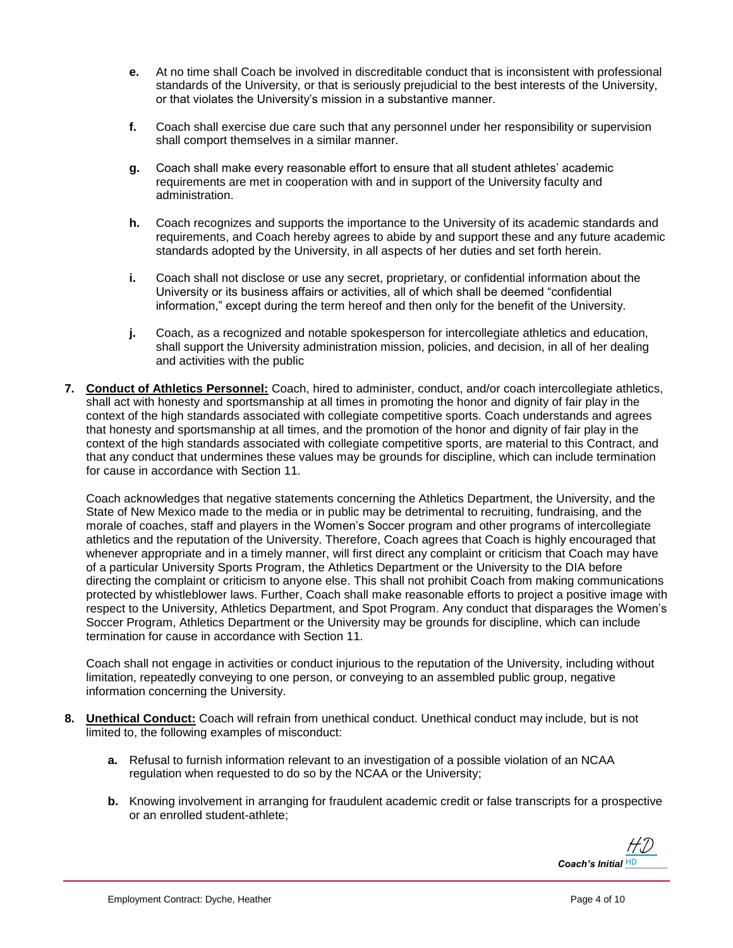- **e.** At no time shall Coach be involved in discreditable conduct that is inconsistent with professional standards of the University, or that is seriously prejudicial to the best interests of the University, or that violates the University's mission in a substantive manner.
- **f.** Coach shall exercise due care such that any personnel under her responsibility or supervision shall comport themselves in a similar manner.
- **g.** Coach shall make every reasonable effort to ensure that all student athletes' academic requirements are met in cooperation with and in support of the University faculty and administration.
- **h.** Coach recognizes and supports the importance to the University of its academic standards and requirements, and Coach hereby agrees to abide by and support these and any future academic standards adopted by the University, in all aspects of her duties and set forth herein.
- **i.** Coach shall not disclose or use any secret, proprietary, or confidential information about the University or its business affairs or activities, all of which shall be deemed "confidential information," except during the term hereof and then only for the benefit of the University.
- **j.** Coach, as a recognized and notable spokesperson for intercollegiate athletics and education, shall support the University administration mission, policies, and decision, in all of her dealing and activities with the public
- **7. Conduct of Athletics Personnel:** Coach, hired to administer, conduct, and/or coach intercollegiate athletics, shall act with honesty and sportsmanship at all times in promoting the honor and dignity of fair play in the context of the high standards associated with collegiate competitive sports. Coach understands and agrees that honesty and sportsmanship at all times, and the promotion of the honor and dignity of fair play in the context of the high standards associated with collegiate competitive sports, are material to this Contract, and that any conduct that undermines these values may be grounds for discipline, which can include termination for cause in accordance with Section 11.

Coach acknowledges that negative statements concerning the Athletics Department, the University, and the State of New Mexico made to the media or in public may be detrimental to recruiting, fundraising, and the morale of coaches, staff and players in the Women's Soccer program and other programs of intercollegiate athletics and the reputation of the University. Therefore, Coach agrees that Coach is highly encouraged that whenever appropriate and in a timely manner, will first direct any complaint or criticism that Coach may have of a particular University Sports Program, the Athletics Department or the University to the DIA before directing the complaint or criticism to anyone else. This shall not prohibit Coach from making communications protected by whistleblower laws. Further, Coach shall make reasonable efforts to project a positive image with respect to the University, Athletics Department, and Spot Program. Any conduct that disparages the Women's Soccer Program, Athletics Department or the University may be grounds for discipline, which can include termination for cause in accordance with Section 11.

Coach shall not engage in activities or conduct injurious to the reputation of the University, including without limitation, repeatedly conveying to one person, or conveying to an assembled public group, negative information concerning the University.

- **8. Unethical Conduct:** Coach will refrain from unethical conduct. Unethical conduct may include, but is not limited to, the following examples of misconduct:
	- **a.** Refusal to furnish information relevant to an investigation of a possible violation of an NCAA regulation when requested to do so by the NCAA or the University;
	- **b.** Knowing involvement in arranging for fraudulent academic credit or false transcripts for a prospective or an enrolled student-athlete;

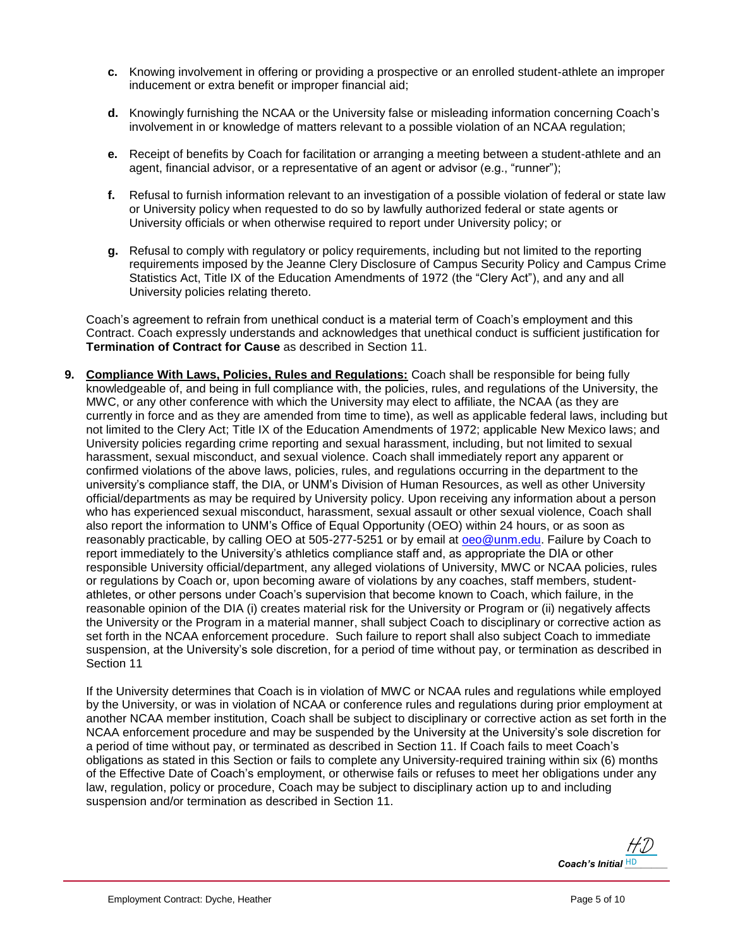- **c.** Knowing involvement in offering or providing a prospective or an enrolled student-athlete an improper inducement or extra benefit or improper financial aid;
- **d.** Knowingly furnishing the NCAA or the University false or misleading information concerning Coach's involvement in or knowledge of matters relevant to a possible violation of an NCAA regulation;
- **e.** Receipt of benefits by Coach for facilitation or arranging a meeting between a student-athlete and an agent, financial advisor, or a representative of an agent or advisor (e.g., "runner");
- **f.** Refusal to furnish information relevant to an investigation of a possible violation of federal or state law or University policy when requested to do so by lawfully authorized federal or state agents or University officials or when otherwise required to report under University policy; or
- **g.** Refusal to comply with regulatory or policy requirements, including but not limited to the reporting requirements imposed by the Jeanne Clery Disclosure of Campus Security Policy and Campus Crime Statistics Act, Title IX of the Education Amendments of 1972 (the "Clery Act"), and any and all University policies relating thereto.

Coach's agreement to refrain from unethical conduct is a material term of Coach's employment and this Contract. Coach expressly understands and acknowledges that unethical conduct is sufficient justification for **Termination of Contract for Cause** as described in Section 11.

**9. Compliance With Laws, Policies, Rules and Regulations:** Coach shall be responsible for being fully knowledgeable of, and being in full compliance with, the policies, rules, and regulations of the University, the MWC, or any other conference with which the University may elect to affiliate, the NCAA (as they are currently in force and as they are amended from time to time), as well as applicable federal laws, including but not limited to the Clery Act; Title IX of the Education Amendments of 1972; applicable New Mexico laws; and University policies regarding crime reporting and sexual harassment, including, but not limited to sexual harassment, sexual misconduct, and sexual violence. Coach shall immediately report any apparent or confirmed violations of the above laws, policies, rules, and regulations occurring in the department to the university's compliance staff, the DIA, or UNM's Division of Human Resources, as well as other University official/departments as may be required by University policy. Upon receiving any information about a person who has experienced sexual misconduct, harassment, sexual assault or other sexual violence, Coach shall also report the information to UNM's Office of Equal Opportunity (OEO) within 24 hours, or as soon as reasonably practicable, by calling OEO at 505-277-5251 or by email at [oeo@unm.edu.](mailto:oeo@unm.edu) Failure by Coach to report immediately to the University's athletics compliance staff and, as appropriate the DIA or other responsible University official/department, any alleged violations of University, MWC or NCAA policies, rules or regulations by Coach or, upon becoming aware of violations by any coaches, staff members, studentathletes, or other persons under Coach's supervision that become known to Coach, which failure, in the reasonable opinion of the DIA (i) creates material risk for the University or Program or (ii) negatively affects the University or the Program in a material manner, shall subject Coach to disciplinary or corrective action as set forth in the NCAA enforcement procedure. Such failure to report shall also subject Coach to immediate suspension, at the University's sole discretion, for a period of time without pay, or termination as described in Section 11

If the University determines that Coach is in violation of MWC or NCAA rules and regulations while employed by the University, or was in violation of NCAA or conference rules and regulations during prior employment at another NCAA member institution, Coach shall be subject to disciplinary or corrective action as set forth in the NCAA enforcement procedure and may be suspended by the University at the University's sole discretion for a period of time without pay, or terminated as described in Section 11. If Coach fails to meet Coach's obligations as stated in this Section or fails to complete any University-required training within six (6) months of the Effective Date of Coach's employment, or otherwise fails or refuses to meet her obligations under any law, regulation, policy or procedure, Coach may be subject to disciplinary action up to and including suspension and/or termination as described in Section 11.

*Coach's Initial* HD [HD](https://secure.na2.echosign.com/verifier?tx=CBJCHBCAABAAtKjw7_nfRP9qf1b-xkNfPwsszDnMd8w7)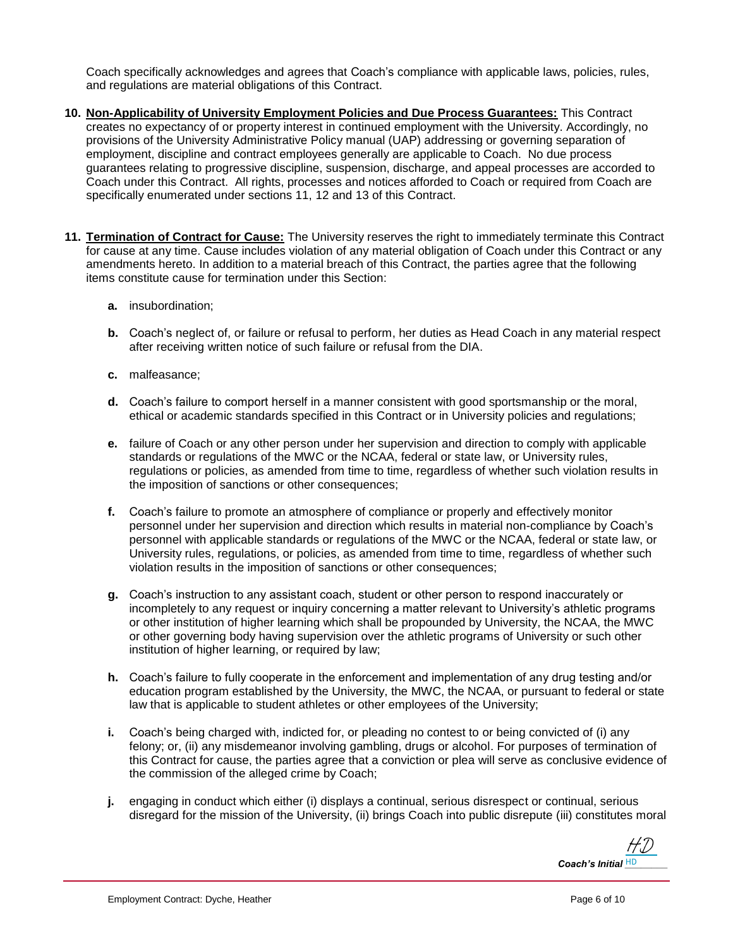Coach specifically acknowledges and agrees that Coach's compliance with applicable laws, policies, rules, and regulations are material obligations of this Contract.

- **10. Non-Applicability of University Employment Policies and Due Process Guarantees:** This Contract creates no expectancy of or property interest in continued employment with the University. Accordingly, no provisions of the University Administrative Policy manual (UAP) addressing or governing separation of employment, discipline and contract employees generally are applicable to Coach. No due process guarantees relating to progressive discipline, suspension, discharge, and appeal processes are accorded to Coach under this Contract. All rights, processes and notices afforded to Coach or required from Coach are specifically enumerated under sections 11, 12 and 13 of this Contract.
- **11. Termination of Contract for Cause:** The University reserves the right to immediately terminate this Contract for cause at any time. Cause includes violation of any material obligation of Coach under this Contract or any amendments hereto. In addition to a material breach of this Contract, the parties agree that the following items constitute cause for termination under this Section:
	- **a.** insubordination;
	- **b.** Coach's neglect of, or failure or refusal to perform, her duties as Head Coach in any material respect after receiving written notice of such failure or refusal from the DIA.
	- **c.** malfeasance;
	- **d.** Coach's failure to comport herself in a manner consistent with good sportsmanship or the moral, ethical or academic standards specified in this Contract or in University policies and regulations;
	- **e.** failure of Coach or any other person under her supervision and direction to comply with applicable standards or regulations of the MWC or the NCAA, federal or state law, or University rules, regulations or policies, as amended from time to time, regardless of whether such violation results in the imposition of sanctions or other consequences;
	- **f.** Coach's failure to promote an atmosphere of compliance or properly and effectively monitor personnel under her supervision and direction which results in material non-compliance by Coach's personnel with applicable standards or regulations of the MWC or the NCAA, federal or state law, or University rules, regulations, or policies, as amended from time to time, regardless of whether such violation results in the imposition of sanctions or other consequences;
	- **g.** Coach's instruction to any assistant coach, student or other person to respond inaccurately or incompletely to any request or inquiry concerning a matter relevant to University's athletic programs or other institution of higher learning which shall be propounded by University, the NCAA, the MWC or other governing body having supervision over the athletic programs of University or such other institution of higher learning, or required by law;
	- **h.** Coach's failure to fully cooperate in the enforcement and implementation of any drug testing and/or education program established by the University, the MWC, the NCAA, or pursuant to federal or state law that is applicable to student athletes or other employees of the University;
	- **i.** Coach's being charged with, indicted for, or pleading no contest to or being convicted of (i) any felony; or, (ii) any misdemeanor involving gambling, drugs or alcohol. For purposes of termination of this Contract for cause, the parties agree that a conviction or plea will serve as conclusive evidence of the commission of the alleged crime by Coach;
	- **j.** engaging in conduct which either (i) displays a continual, serious disrespect or continual, serious disregard for the mission of the University, (ii) brings Coach into public disrepute (iii) constitutes moral

*Coach's Initial* HD [HD](https://secure.na2.echosign.com/verifier?tx=CBJCHBCAABAAtKjw7_nfRP9qf1b-xkNfPwsszDnMd8w7)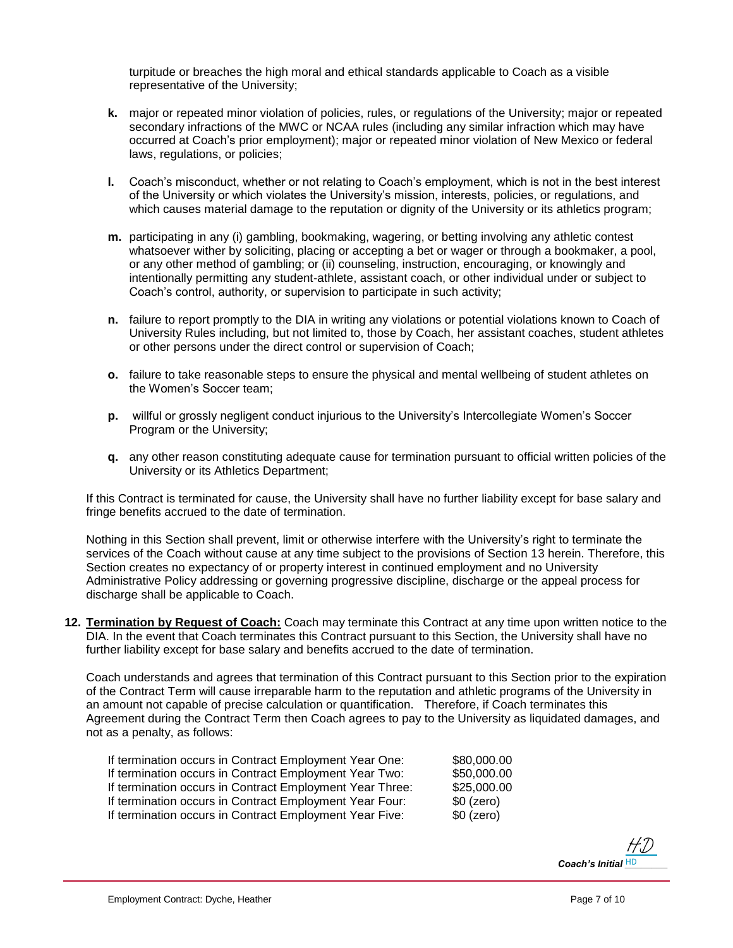turpitude or breaches the high moral and ethical standards applicable to Coach as a visible representative of the University;

- **k.** major or repeated minor violation of policies, rules, or regulations of the University; major or repeated secondary infractions of the MWC or NCAA rules (including any similar infraction which may have occurred at Coach's prior employment); major or repeated minor violation of New Mexico or federal laws, regulations, or policies;
- **l.** Coach's misconduct, whether or not relating to Coach's employment, which is not in the best interest of the University or which violates the University's mission, interests, policies, or regulations, and which causes material damage to the reputation or dignity of the University or its athletics program;
- **m.** participating in any (i) gambling, bookmaking, wagering, or betting involving any athletic contest whatsoever wither by soliciting, placing or accepting a bet or wager or through a bookmaker, a pool, or any other method of gambling; or (ii) counseling, instruction, encouraging, or knowingly and intentionally permitting any student-athlete, assistant coach, or other individual under or subject to Coach's control, authority, or supervision to participate in such activity;
- **n.** failure to report promptly to the DIA in writing any violations or potential violations known to Coach of University Rules including, but not limited to, those by Coach, her assistant coaches, student athletes or other persons under the direct control or supervision of Coach;
- **o.** failure to take reasonable steps to ensure the physical and mental wellbeing of student athletes on the Women's Soccer team;
- **p.** willful or grossly negligent conduct injurious to the University's Intercollegiate Women's Soccer Program or the University;
- **q.** any other reason constituting adequate cause for termination pursuant to official written policies of the University or its Athletics Department;

If this Contract is terminated for cause, the University shall have no further liability except for base salary and fringe benefits accrued to the date of termination.

Nothing in this Section shall prevent, limit or otherwise interfere with the University's right to terminate the services of the Coach without cause at any time subject to the provisions of Section 13 herein. Therefore, this Section creates no expectancy of or property interest in continued employment and no University Administrative Policy addressing or governing progressive discipline, discharge or the appeal process for discharge shall be applicable to Coach.

**12. Termination by Request of Coach:** Coach may terminate this Contract at any time upon written notice to the DIA. In the event that Coach terminates this Contract pursuant to this Section, the University shall have no further liability except for base salary and benefits accrued to the date of termination.

Coach understands and agrees that termination of this Contract pursuant to this Section prior to the expiration of the Contract Term will cause irreparable harm to the reputation and athletic programs of the University in an amount not capable of precise calculation or quantification. Therefore, if Coach terminates this Agreement during the Contract Term then Coach agrees to pay to the University as liquidated damages, and not as a penalty, as follows:

If termination occurs in Contract Employment Year One: \$80,000.00 If termination occurs in Contract Employment Year Two: \$50,000.00 If termination occurs in Contract Employment Year Three: \$25,000.00 If termination occurs in Contract Employment Year Four: \$0 (zero) If termination occurs in Contract Employment Year Five: \$0 (zero)

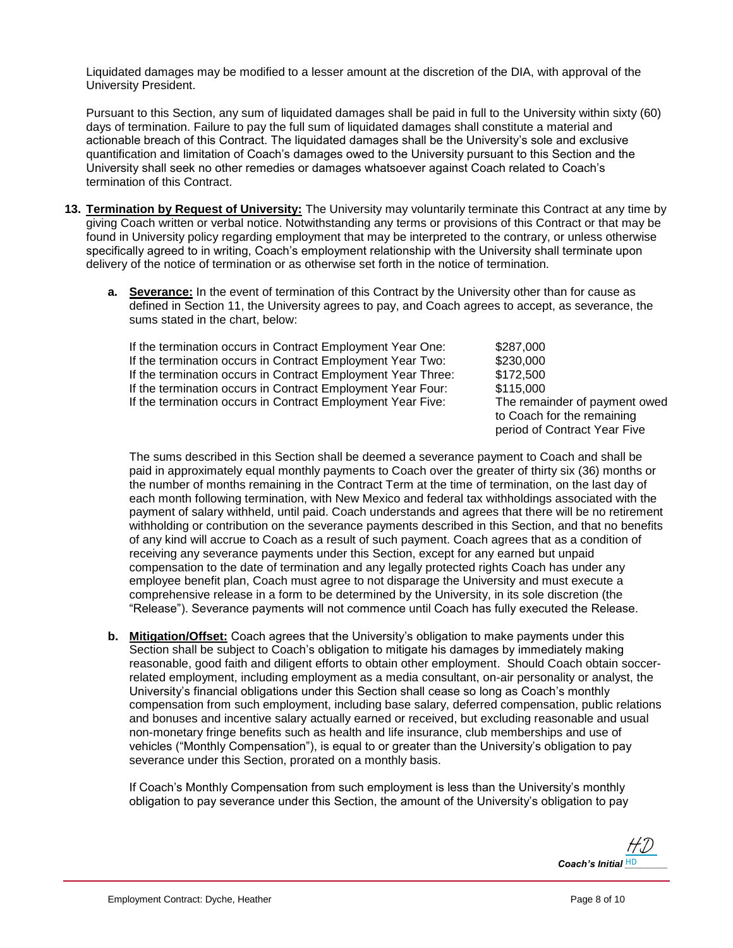Liquidated damages may be modified to a lesser amount at the discretion of the DIA, with approval of the University President.

Pursuant to this Section, any sum of liquidated damages shall be paid in full to the University within sixty (60) days of termination. Failure to pay the full sum of liquidated damages shall constitute a material and actionable breach of this Contract. The liquidated damages shall be the University's sole and exclusive quantification and limitation of Coach's damages owed to the University pursuant to this Section and the University shall seek no other remedies or damages whatsoever against Coach related to Coach's termination of this Contract.

- **13. Termination by Request of University:** The University may voluntarily terminate this Contract at any time by giving Coach written or verbal notice. Notwithstanding any terms or provisions of this Contract or that may be found in University policy regarding employment that may be interpreted to the contrary, or unless otherwise specifically agreed to in writing, Coach's employment relationship with the University shall terminate upon delivery of the notice of termination or as otherwise set forth in the notice of termination.
	- **a. Severance:** In the event of termination of this Contract by the University other than for cause as defined in Section 11, the University agrees to pay, and Coach agrees to accept, as severance, the sums stated in the chart, below:

If the termination occurs in Contract Employment Year One: \$287,000 If the termination occurs in Contract Employment Year Two: \$230,000 If the termination occurs in Contract Employment Year Three: \$172,500 If the termination occurs in Contract Employment Year Four: \$115,000 If the termination occurs in Contract Employment Year Five: The remainder of payment owed

to Coach for the remaining period of Contract Year Five

The sums described in this Section shall be deemed a severance payment to Coach and shall be paid in approximately equal monthly payments to Coach over the greater of thirty six (36) months or the number of months remaining in the Contract Term at the time of termination, on the last day of each month following termination, with New Mexico and federal tax withholdings associated with the payment of salary withheld, until paid. Coach understands and agrees that there will be no retirement withholding or contribution on the severance payments described in this Section, and that no benefits of any kind will accrue to Coach as a result of such payment. Coach agrees that as a condition of receiving any severance payments under this Section, except for any earned but unpaid compensation to the date of termination and any legally protected rights Coach has under any employee benefit plan, Coach must agree to not disparage the University and must execute a comprehensive release in a form to be determined by the University, in its sole discretion (the "Release"). Severance payments will not commence until Coach has fully executed the Release.

**b. Mitigation/Offset:** Coach agrees that the University's obligation to make payments under this Section shall be subject to Coach's obligation to mitigate his damages by immediately making reasonable, good faith and diligent efforts to obtain other employment. Should Coach obtain soccerrelated employment, including employment as a media consultant, on-air personality or analyst, the University's financial obligations under this Section shall cease so long as Coach's monthly compensation from such employment, including base salary, deferred compensation, public relations and bonuses and incentive salary actually earned or received, but excluding reasonable and usual non-monetary fringe benefits such as health and life insurance, club memberships and use of vehicles ("Monthly Compensation"), is equal to or greater than the University's obligation to pay severance under this Section, prorated on a monthly basis.

If Coach's Monthly Compensation from such employment is less than the University's monthly obligation to pay severance under this Section, the amount of the University's obligation to pay

> *Coach's Initial* HD [HD](https://secure.na2.echosign.com/verifier?tx=CBJCHBCAABAAtKjw7_nfRP9qf1b-xkNfPwsszDnMd8w7)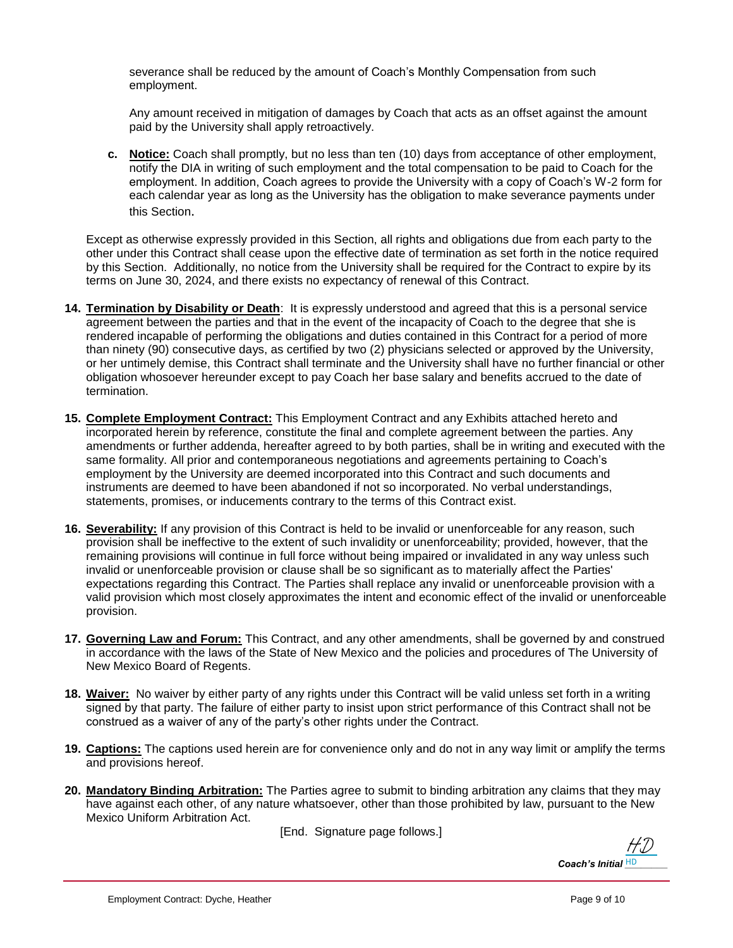severance shall be reduced by the amount of Coach's Monthly Compensation from such employment.

Any amount received in mitigation of damages by Coach that acts as an offset against the amount paid by the University shall apply retroactively.

**c. Notice:** Coach shall promptly, but no less than ten (10) days from acceptance of other employment, notify the DIA in writing of such employment and the total compensation to be paid to Coach for the employment. In addition, Coach agrees to provide the University with a copy of Coach's W-2 form for each calendar year as long as the University has the obligation to make severance payments under this Section.

Except as otherwise expressly provided in this Section, all rights and obligations due from each party to the other under this Contract shall cease upon the effective date of termination as set forth in the notice required by this Section. Additionally, no notice from the University shall be required for the Contract to expire by its terms on June 30, 2024, and there exists no expectancy of renewal of this Contract.

- **14. Termination by Disability or Death**: It is expressly understood and agreed that this is a personal service agreement between the parties and that in the event of the incapacity of Coach to the degree that she is rendered incapable of performing the obligations and duties contained in this Contract for a period of more than ninety (90) consecutive days, as certified by two (2) physicians selected or approved by the University, or her untimely demise, this Contract shall terminate and the University shall have no further financial or other obligation whosoever hereunder except to pay Coach her base salary and benefits accrued to the date of termination.
- **15. Complete Employment Contract:** This Employment Contract and any Exhibits attached hereto and incorporated herein by reference, constitute the final and complete agreement between the parties. Any amendments or further addenda, hereafter agreed to by both parties, shall be in writing and executed with the same formality. All prior and contemporaneous negotiations and agreements pertaining to Coach's employment by the University are deemed incorporated into this Contract and such documents and instruments are deemed to have been abandoned if not so incorporated. No verbal understandings, statements, promises, or inducements contrary to the terms of this Contract exist.
- **16. Severability:** If any provision of this Contract is held to be invalid or unenforceable for any reason, such provision shall be ineffective to the extent of such invalidity or unenforceability; provided, however, that the remaining provisions will continue in full force without being impaired or invalidated in any way unless such invalid or unenforceable provision or clause shall be so significant as to materially affect the Parties' expectations regarding this Contract. The Parties shall replace any invalid or unenforceable provision with a valid provision which most closely approximates the intent and economic effect of the invalid or unenforceable provision.
- **17. Governing Law and Forum:** This Contract, and any other amendments, shall be governed by and construed in accordance with the laws of the State of New Mexico and the policies and procedures of The University of New Mexico Board of Regents.
- **18. Waiver:** No waiver by either party of any rights under this Contract will be valid unless set forth in a writing signed by that party. The failure of either party to insist upon strict performance of this Contract shall not be construed as a waiver of any of the party's other rights under the Contract.
- **19. Captions:** The captions used herein are for convenience only and do not in any way limit or amplify the terms and provisions hereof.
- **20. Mandatory Binding Arbitration:** The Parties agree to submit to binding arbitration any claims that they may have against each other, of any nature whatsoever, other than those prohibited by law, pursuant to the New Mexico Uniform Arbitration Act.

[End. Signature page follows.]

*Coach's Initial* HD [HD](https://secure.na2.echosign.com/verifier?tx=CBJCHBCAABAAtKjw7_nfRP9qf1b-xkNfPwsszDnMd8w7)